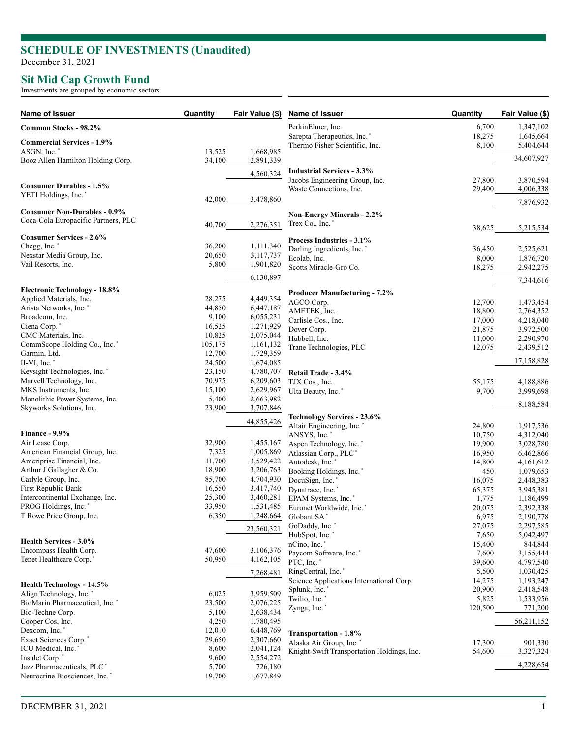## **SCHEDULE OF INVESTMENTS (Unaudited)**

December 31, 2021

## **Sit Mid Cap Growth Fund**

Investments are grouped by economic sectors.

| Name of Issuer                                                                      | Quantity         | Fair Value (\$)        | Name of Issuer                             | Quantity         | Fair Value (\$)        |
|-------------------------------------------------------------------------------------|------------------|------------------------|--------------------------------------------|------------------|------------------------|
| Common Stocks - 98.2%                                                               |                  |                        | PerkinElmer, Inc.                          | 6,700            | 1,347,102              |
| <b>Commercial Services - 1.9%</b>                                                   |                  |                        | Sarepta Therapeutics, Inc. <sup>*</sup>    | 18,275           | 1,645,664              |
| ASGN, Inc.*                                                                         | 13,525           | 1,668,985              | Thermo Fisher Scientific, Inc.             | 8,100            | 5,404,644              |
| Booz Allen Hamilton Holding Corp.                                                   | 34,100           | 2,891,339              |                                            |                  | 34,607,927             |
|                                                                                     |                  | 4,560,324              | <b>Industrial Services - 3.3%</b>          |                  |                        |
|                                                                                     |                  |                        | Jacobs Engineering Group, Inc.             | 27,800           | 3,870,594              |
| <b>Consumer Durables - 1.5%</b><br>YETI Holdings, Inc.*                             |                  |                        | Waste Connections, Inc.                    | 29,400           | 4,006,338              |
|                                                                                     | 42,000           | 3,478,860              |                                            |                  | 7,876,932              |
| <b>Consumer Non-Durables - 0.9%</b>                                                 |                  |                        | <b>Non-Energy Minerals - 2.2%</b>          |                  |                        |
| Coca-Cola Europacific Partners, PLC                                                 | 40,700           | 2,276,351              | Trex Co., Inc.*                            |                  |                        |
|                                                                                     |                  |                        |                                            | 38,625           | 5,215,534              |
| <b>Consumer Services - 2.6%</b><br>Chegg, Inc.*                                     | 36,200           | 1,111,340              | Process Industries - 3.1%                  |                  |                        |
| Nexstar Media Group, Inc.                                                           | 20,650           | 3,117,737              | Darling Ingredients, Inc.*                 | 36,450           | 2,525,621              |
| Vail Resorts, Inc.                                                                  | 5,800            | 1,901,820              | Ecolab, Inc.<br>Scotts Miracle-Gro Co.     | 8,000<br>18,275  | 1,876,720<br>2,942,275 |
|                                                                                     |                  | 6,130,897              |                                            |                  |                        |
|                                                                                     |                  |                        |                                            |                  | 7,344,616              |
| <b>Electronic Technology - 18.8%</b>                                                | 28,275           |                        | <b>Producer Manufacturing - 7.2%</b>       |                  |                        |
| Applied Materials, Inc.<br>Arista Networks, Inc.*                                   | 44,850           | 4,449,354<br>6,447,187 | AGCO Corp.                                 | 12,700           | 1,473,454              |
| Broadcom, Inc.                                                                      | 9,100            | 6,055,231              | AMETEK, Inc.                               | 18,800           | 2,764,352              |
| Ciena Corp.*                                                                        | 16,525           | 1,271,929              | Carlisle Cos., Inc.                        | 17,000           | 4,218,040              |
| CMC Materials, Inc.                                                                 | 10,825           | 2,075,044              | Dover Corp.<br>Hubbell, Inc.               | 21,875<br>11,000 | 3,972,500<br>2,290,970 |
| CommScope Holding Co., Inc.*                                                        | 105,175          | 1,161,132              | Trane Technologies, PLC                    | 12,075           | 2,439,512              |
| Garmin, Ltd.                                                                        | 12,700           | 1,729,359              |                                            |                  |                        |
| II-VI, Inc.                                                                         | 24,500           | 1,674,085              |                                            |                  | 17,158,828             |
| Keysight Technologies, Inc.*                                                        | 23,150           | 4,780,707              | Retail Trade - 3.4%                        |                  |                        |
| Marvell Technology, Inc.<br>MKS Instruments, Inc.                                   | 70,975<br>15,100 | 6,209,603<br>2,629,967 | TJX Cos., Inc.                             | 55,175           | 4,188,886              |
| Monolithic Power Systems, Inc.                                                      | 5,400            | 2,663,982              | Ulta Beauty, Inc.*                         | 9,700            | 3,999,698              |
| Skyworks Solutions, Inc.                                                            | 23,900           | 3,707,846              |                                            |                  | 8,188,584              |
|                                                                                     |                  | 44,855,426             | <b>Technology Services - 23.6%</b>         |                  |                        |
|                                                                                     |                  |                        | Altair Engineering, Inc.                   | 24,800           | 1,917,536              |
| Finance - 9.9%                                                                      |                  |                        | ANSYS, Inc.*                               | 10,750           | 4,312,040              |
| Air Lease Corp.<br>American Financial Group, Inc.                                   | 32,900<br>7,325  | 1,455,167<br>1,005,869 | Aspen Technology, Inc.*                    | 19,900           | 3,028,780              |
| Ameriprise Financial, Inc.                                                          | 11,700           | 3,529,422              | Atlassian Corp., PLC*<br>Autodesk, Inc.    | 16,950<br>14,800 | 6,462,866<br>4,161,612 |
| Arthur J Gallagher & Co.                                                            | 18,900           | 3,206,763              | Booking Holdings, Inc.*                    | 450              | 1,079,653              |
| Carlyle Group, Inc.                                                                 | 85,700           | 4,704,930              | DocuSign, Inc.*                            | 16,075           | 2,448,383              |
| First Republic Bank                                                                 | 16,550           | 3,417,740              | Dynatrace, Inc.*                           | 65,375           | 3,945,381              |
| Intercontinental Exchange, Inc.                                                     | 25,300           | 3,460,281              | EPAM Systems, Inc.*                        | 1,775            | 1,186,499              |
| PROG Holdings, Inc.*                                                                | 33,950           | 1,531,485              | Euronet Worldwide, Inc.*                   | 20,075           | 2,392,338              |
| T Rowe Price Group, Inc.                                                            | 6,350            | 1,248,664              | Globant SA*                                | 6,975            | 2,190,778              |
|                                                                                     |                  | 23,560,321             | GoDaddy, Inc.*                             | 27,075           | 2,297,585              |
| <b>Health Services - 3.0%</b>                                                       |                  |                        | HubSpot, Inc.                              | 7,650            | 5,042,497              |
| Encompass Health Corp.                                                              | 47,600           | 3,106,376              | nCino, Inc.*<br>Paycom Software, Inc.*     | 15,400<br>7,600  | 844,844<br>3,155,444   |
| Tenet Healthcare Corp.'                                                             | 50,950           | 4,162,105              | PTC, Inc.                                  | 39,600           | 4,797,540              |
|                                                                                     |                  | 7,268,481              | RingCentral, Inc.*                         | 5,500            | 1,030,425              |
| Health Technology - 14.5%                                                           |                  |                        | Science Applications International Corp.   | 14,275           | 1,193,247              |
| Align Technology, Inc.*                                                             | 6,025            | 3,959,509              | Splunk, Inc.                               | 20,900           | 2,418,548              |
| BioMarin Pharmaceutical, Inc.*                                                      | 23,500           | 2,076,225              | Twilio, Inc.                               | 5,825            | 1,533,956              |
| Bio-Techne Corp.                                                                    | 5,100            | 2,638,434              | Zynga, Inc.                                | 120,500          | 771,200                |
| Cooper Cos, Inc.                                                                    | 4,250            | 1,780,495              |                                            |                  | 56,211,152             |
| Dexcom, Inc. <sup>*</sup>                                                           | 12,010           | 6,448,769              | Transportation - 1.8%                      |                  |                        |
| Exact Sciences Corp.*                                                               | 29,650           | 2,307,660              | Alaska Air Group, Inc.                     | 17,300           | 901,330                |
| ICU Medical, Inc.                                                                   | 8,600            | 2,041,124              | Knight-Swift Transportation Holdings, Inc. | 54,600           | 3,327,324              |
| Insulet Corp.*                                                                      | 9,600            | 2,554,272              |                                            |                  | 4,228,654              |
| Jazz Pharmaceuticals, PLC <sup>*</sup><br>Neurocrine Biosciences, Inc. <sup>*</sup> | 5,700<br>19,700  | 726,180<br>1,677,849   |                                            |                  |                        |
|                                                                                     |                  |                        |                                            |                  |                        |